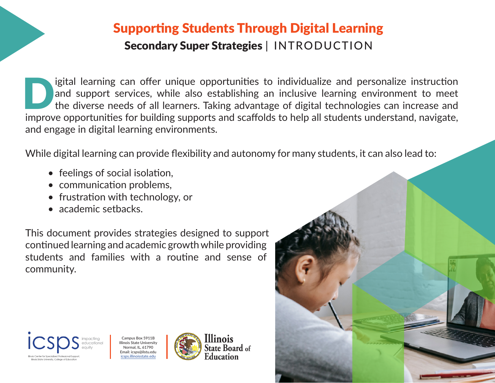## Supporting Students Through Digital Learning Secondary Super Strategies | INTRODUCTION

I igital learning can offer unique opportunities to individualize and personalize instruction<br>and support services, while also establishing an inclusive learning environment to meet<br>the diverse needs of all learners. Takin and support services, while also establishing an inclusive learning environment to meet the diverse needs of all learners. Taking advantage of digital technologies can increase and improve opportunities for building supports and scaffolds to help all students understand, navigate, and engage in digital learning environments.

While digital learning can provide flexibility and autonomy for many students, it can also lead to:

- feelings of social isolation,
- communication problems,
- frustration with technology, or
- academic setbacks.

This document provides strategies designed to support continued learning and academic growth while providing students and families with a routine and sense of community.



Campus Box 5911B Illinois State University Normal, IL, 61790 Email: icsps@ilstu.edu icsps.illinoisstate.edu